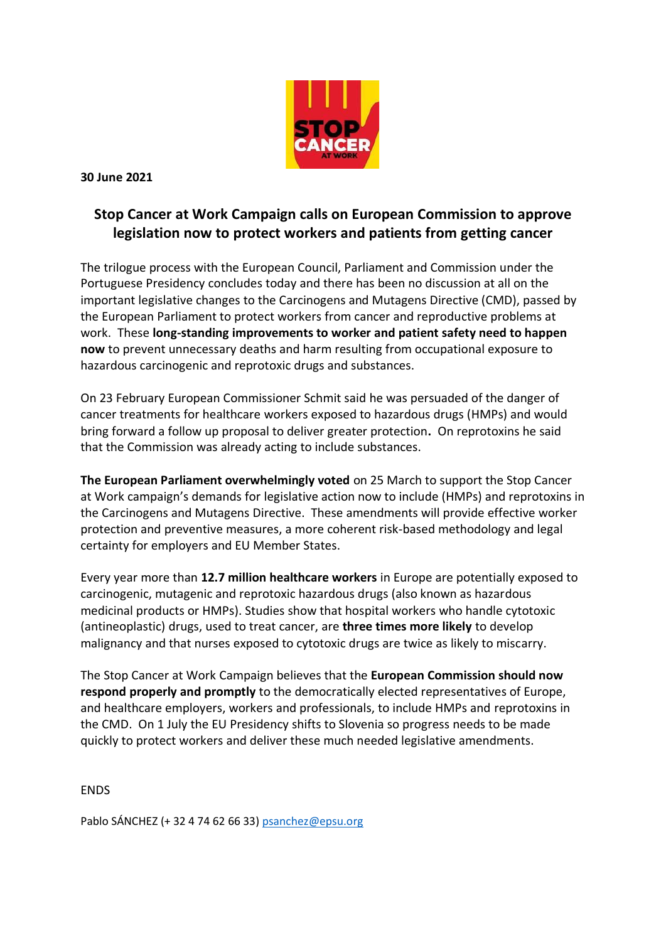

**30 June 2021**

## **Stop Cancer at Work Campaign calls on European Commission to approve legislation now to protect workers and patients from getting cancer**

The trilogue process with the European Council, Parliament and Commission under the Portuguese Presidency concludes today and there has been no discussion at all on the important legislative changes to the Carcinogens and Mutagens Directive (CMD), passed by the European Parliament to protect workers from cancer and reproductive problems at work. These **long-standing improvements to worker and patient safety need to happen now** to prevent unnecessary deaths and harm resulting from occupational exposure to hazardous carcinogenic and reprotoxic drugs and substances.

On 23 February European Commissioner Schmit said he was persuaded of the danger of cancer treatments for healthcare workers exposed to hazardous drugs (HMPs) and would bring forward a follow up proposal to deliver greater protection**.** On reprotoxins he said that the Commission was already acting to include substances.

**The European Parliament overwhelmingly voted** on 25 March to support the Stop Cancer at Work campaign's demands for legislative action now to include (HMPs) and reprotoxins in the Carcinogens and Mutagens Directive. These amendments will provide effective worker protection and preventive measures, a more coherent risk-based methodology and legal certainty for employers and EU Member States.

Every year more than **12.7 million healthcare workers** in Europe are potentially exposed to carcinogenic, mutagenic and reprotoxic hazardous drugs (also known as hazardous medicinal products or HMPs). Studies show that hospital workers who handle cytotoxic (antineoplastic) drugs, used to treat cancer, are **three times more likely** to develop malignancy and that nurses exposed to cytotoxic drugs are twice as likely to miscarry.

The Stop Cancer at Work Campaign believes that the **European Commission should now respond properly and promptly** to the democratically elected representatives of Europe, and healthcare employers, workers and professionals, to include HMPs and reprotoxins in the CMD. On 1 July the EU Presidency shifts to Slovenia so progress needs to be made quickly to protect workers and deliver these much needed legislative amendments.

ENDS

Pablo SÁNCHEZ (+ 32 4 74 62 66 33[\) psanchez@epsu.org](mailto:psanchez@epsu.org)